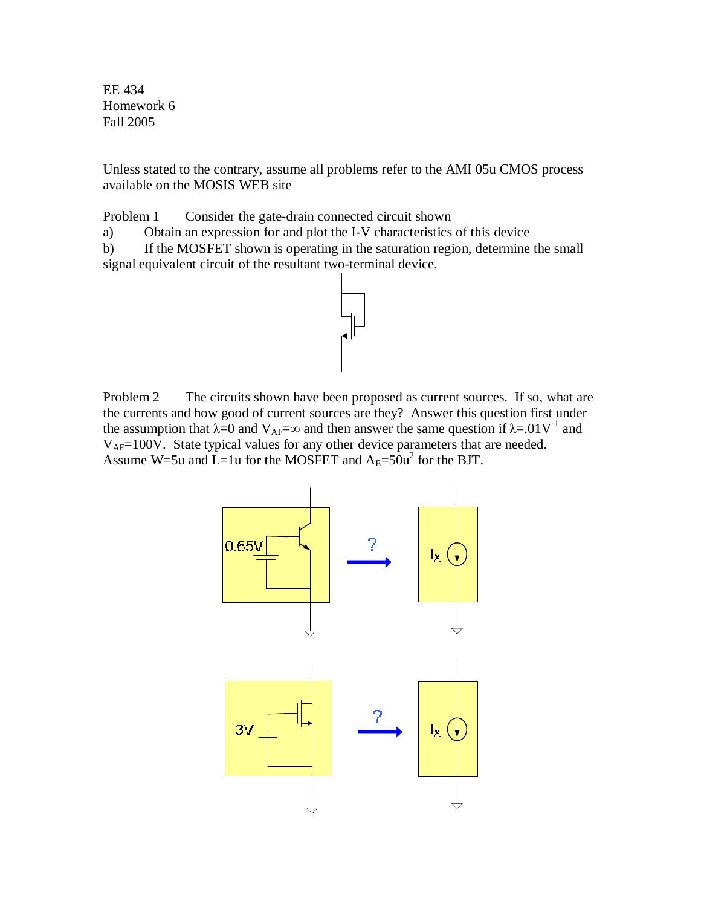EE 434 Homework 6 Fall 2005

Unless stated to the contrary, assume all problems refer to the AMI 05u CMOS process available on the MOSIS WEB site

Problem 1 Consider the gate-drain connected circuit shown

a) Obtain an expression for and plot the I-V characteristics of this device

b) If the MOSFET shown is operating in the saturation region, determine the small signal equivalent circuit of the resultant two-terminal device.



Problem 2 The circuits shown have been proposed as current sources. If so, what are the currents and how good of current sources are they? Answer this question first under the assumption that  $\lambda = 0$  and  $V_{AF} = \infty$  and then answer the same question if  $\lambda = .01V^{-1}$  and VAF=100V. State typical values for any other device parameters that are needed. Assume W=5u and  $\dot{L}$ =1u for the MOSFET and  $A_E$ =50u<sup>2</sup> for the BJT.

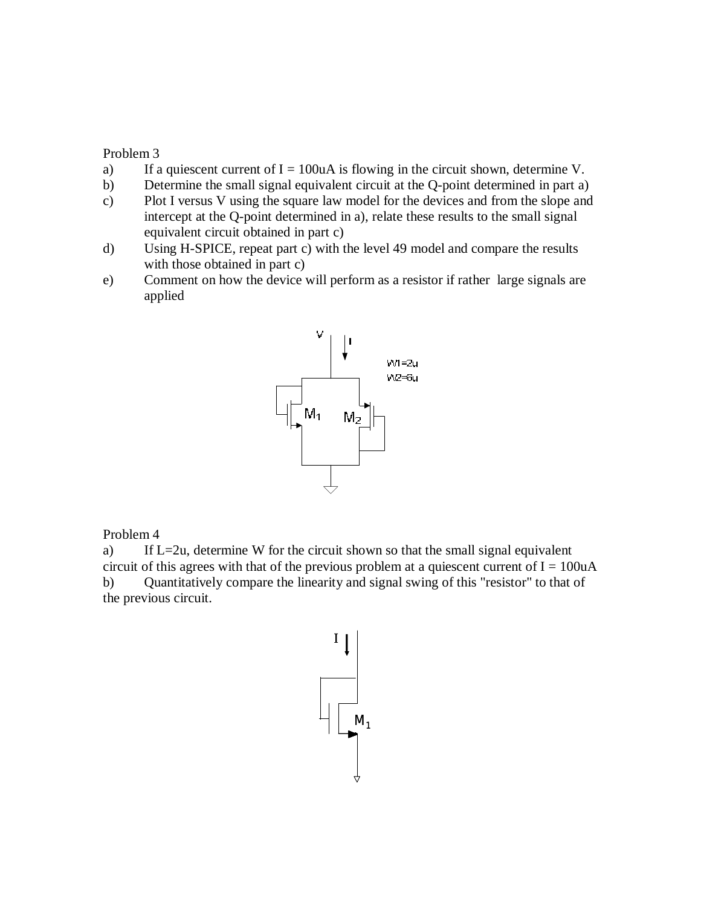## Problem 3

- a) If a quiescent current of  $I = 100uA$  is flowing in the circuit shown, determine V.
- b) Determine the small signal equivalent circuit at the Q-point determined in part a)
- c) Plot I versus V using the square law model for the devices and from the slope and intercept at the Q-point determined in a), relate these results to the small signal equivalent circuit obtained in part c)
- d) Using H-SPICE, repeat part c) with the level 49 model and compare the results with those obtained in part c)
- e) Comment on how the device will perform as a resistor if rather large signals are applied



## Problem 4

a) If L=2u, determine W for the circuit shown so that the small signal equivalent circuit of this agrees with that of the previous problem at a quiescent current of  $I = 100uA$ b) Quantitatively compare the linearity and signal swing of this "resistor" to that of the previous circuit.

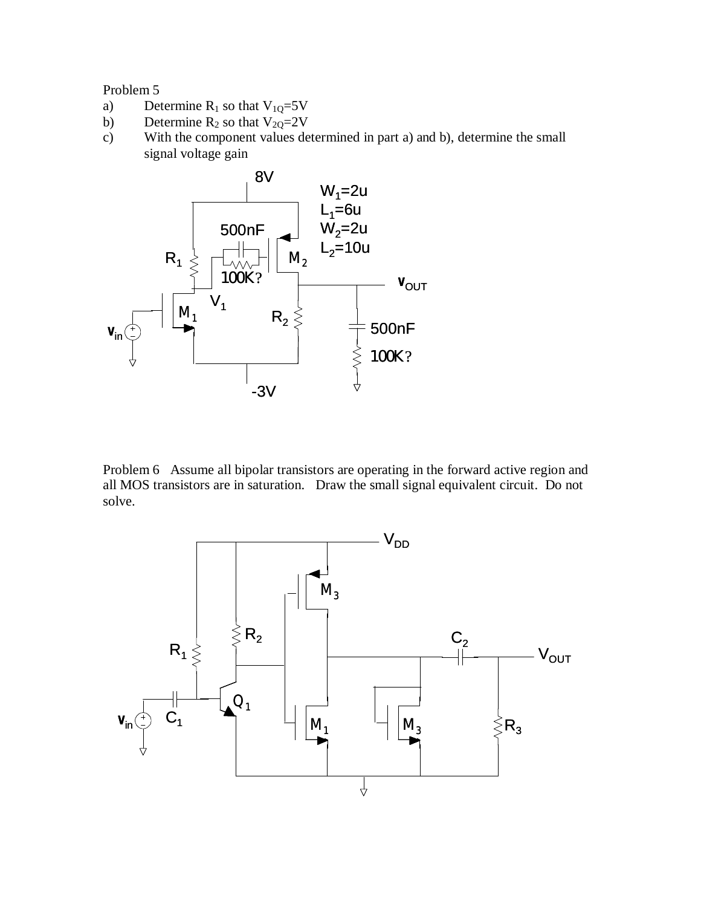## Problem 5

- a) Determine  $R_1$  so that  $V_{10}=5V$
- b) Determine  $R_2$  so that  $V_{2Q}=2V$
- c) With the component values determined in part a) and b), determine the small signal voltage gain



Problem 6 Assume all bipolar transistors are operating in the forward active region and all MOS transistors are in saturation. Draw the small signal equivalent circuit. Do not solve.

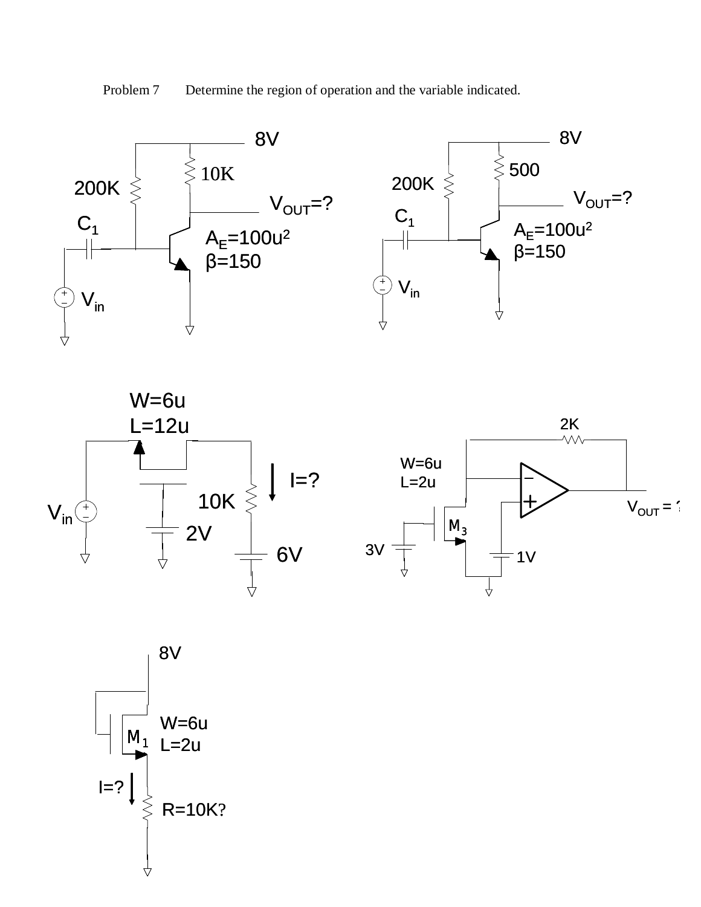Problem 7 Determine the region of operation and the variable indicated.









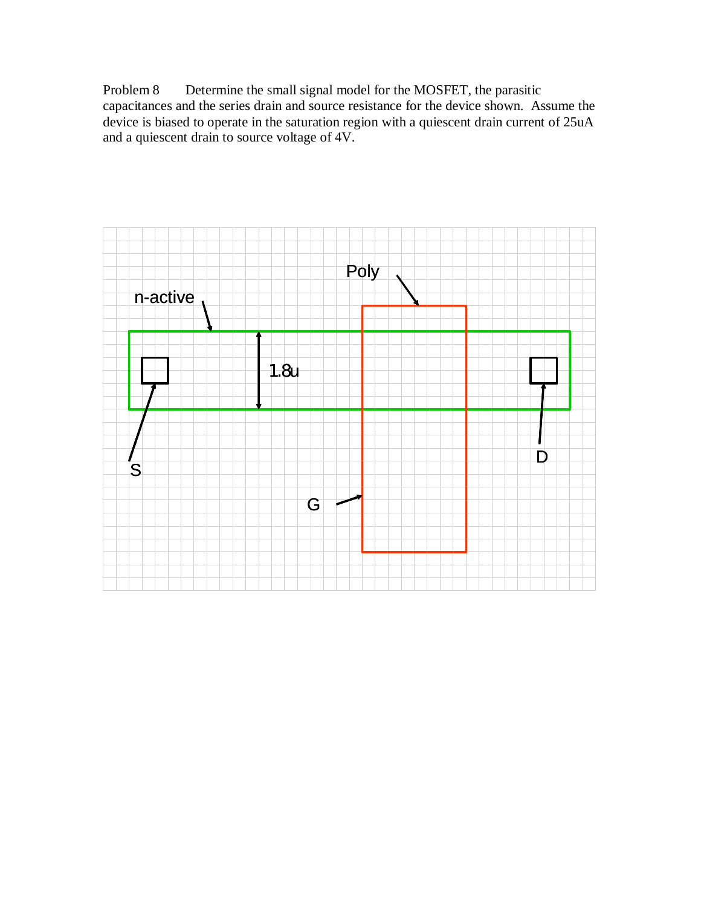Problem 8 Determine the small signal model for the MOSFET, the parasitic capacitances and the series drain and source resistance for the device shown. Assume the device is biased to operate in the saturation region with a quiescent drain current of 25uA and a quiescent drain to source voltage of 4V.

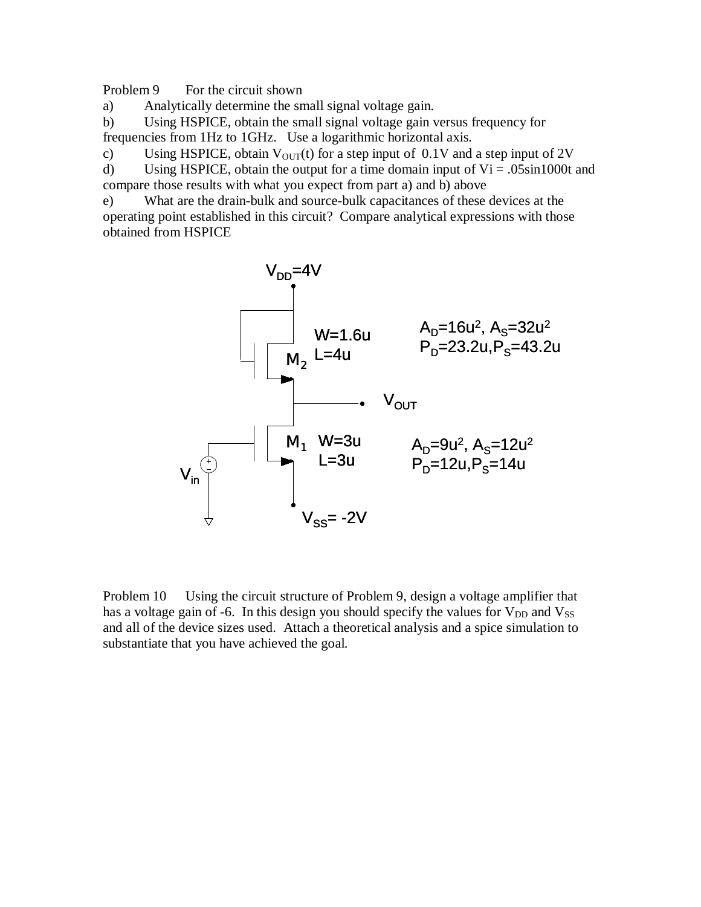Problem 9 For the circuit shown

a) Analytically determine the small signal voltage gain.

b) Using HSPICE, obtain the small signal voltage gain versus frequency for frequencies from 1Hz to 1GHz. Use a logarithmic horizontal axis.

c) Using HSPICE, obtain  $V_{\text{OUT}}(t)$  for a step input of 0.1V and a step input of 2V

d) Using HSPICE, obtain the output for a time domain input of  $Vi = .05\sin 1000t$  and compare those results with what you expect from part a) and b) above

e) What are the drain-bulk and source-bulk capacitances of these devices at the operating point established in this circuit? Compare analytical expressions with those obtained from HSPICE



Problem 10 Using the circuit structure of Problem 9, design a voltage amplifier that has a voltage gain of -6. In this design you should specify the values for  $V_{DD}$  and  $V_{SS}$ and all of the device sizes used. Attach a theoretical analysis and a spice simulation to substantiate that you have achieved the goal.